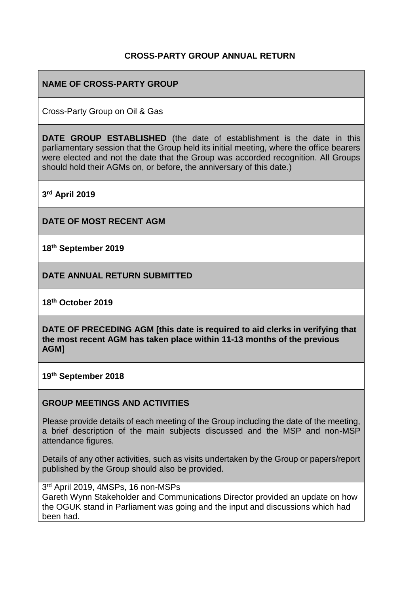### **CROSS-PARTY GROUP ANNUAL RETURN**

## **NAME OF CROSS-PARTY GROUP**

Cross-Party Group on Oil & Gas

**DATE GROUP ESTABLISHED** (the date of establishment is the date in this parliamentary session that the Group held its initial meeting, where the office bearers were elected and not the date that the Group was accorded recognition. All Groups should hold their AGMs on, or before, the anniversary of this date.)

**3 rd April 2019**

**DATE OF MOST RECENT AGM**

**18th September 2019**

**DATE ANNUAL RETURN SUBMITTED**

**18 th October 2019**

**DATE OF PRECEDING AGM [this date is required to aid clerks in verifying that the most recent AGM has taken place within 11-13 months of the previous AGM]**

**19th September 2018**

#### **GROUP MEETINGS AND ACTIVITIES**

Please provide details of each meeting of the Group including the date of the meeting, a brief description of the main subjects discussed and the MSP and non-MSP attendance figures.

Details of any other activities, such as visits undertaken by the Group or papers/report published by the Group should also be provided.

#### 3 rd April 2019, 4MSPs, 16 non-MSPs

Gareth Wynn Stakeholder and Communications Director provided an update on how the OGUK stand in Parliament was going and the input and discussions which had been had.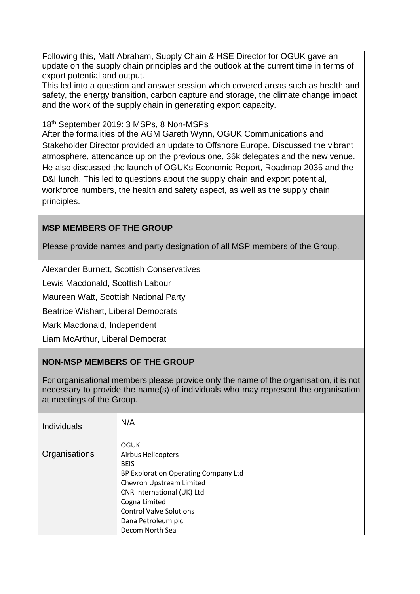Following this, Matt Abraham, Supply Chain & HSE Director for OGUK gave an update on the supply chain principles and the outlook at the current time in terms of export potential and output.

This led into a question and answer session which covered areas such as health and safety, the energy transition, carbon capture and storage, the climate change impact and the work of the supply chain in generating export capacity.

18th September 2019: 3 MSPs, 8 Non-MSPs

After the formalities of the AGM Gareth Wynn, OGUK Communications and Stakeholder Director provided an update to Offshore Europe. Discussed the vibrant atmosphere, attendance up on the previous one, 36k delegates and the new venue. He also discussed the launch of OGUKs Economic Report, Roadmap 2035 and the D&I lunch. This led to questions about the supply chain and export potential, workforce numbers, the health and safety aspect, as well as the supply chain principles.

## **MSP MEMBERS OF THE GROUP**

Please provide names and party designation of all MSP members of the Group.

Alexander Burnett, Scottish Conservatives

Lewis Macdonald, Scottish Labour

Maureen Watt, Scottish National Party

Beatrice Wishart, Liberal Democrats

Mark Macdonald, Independent

Liam McArthur, Liberal Democrat

### **NON-MSP MEMBERS OF THE GROUP**

For organisational members please provide only the name of the organisation, it is not necessary to provide the name(s) of individuals who may represent the organisation at meetings of the Group.

| <b>Individuals</b> | N/A                                  |
|--------------------|--------------------------------------|
|                    | <b>OGUK</b>                          |
| Organisations      | <b>Airbus Helicopters</b>            |
|                    | <b>BEIS</b>                          |
|                    | BP Exploration Operating Company Ltd |
|                    | Chevron Upstream Limited             |
|                    | CNR International (UK) Ltd           |
|                    | Cogna Limited                        |
|                    | <b>Control Valve Solutions</b>       |
|                    | Dana Petroleum plc                   |
|                    | Decom North Sea                      |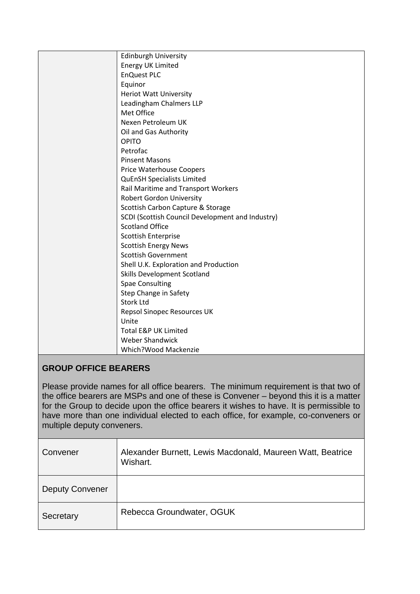| <b>Edinburgh University</b>                      |
|--------------------------------------------------|
| <b>Energy UK Limited</b>                         |
| <b>EnQuest PLC</b>                               |
| Equinor                                          |
| <b>Heriot Watt University</b>                    |
| Leadingham Chalmers LLP                          |
| Met Office                                       |
| Nexen Petroleum UK                               |
| Oil and Gas Authority                            |
| <b>OPITO</b>                                     |
| Petrofac                                         |
| <b>Pinsent Masons</b>                            |
| <b>Price Waterhouse Coopers</b>                  |
| <b>QuEnSH Specialists Limited</b>                |
| Rail Maritime and Transport Workers              |
| <b>Robert Gordon University</b>                  |
| Scottish Carbon Capture & Storage                |
| SCDI (Scottish Council Development and Industry) |
| <b>Scotland Office</b>                           |
| <b>Scottish Enterprise</b>                       |
| <b>Scottish Energy News</b>                      |
| <b>Scottish Government</b>                       |
| Shell U.K. Exploration and Production            |
| <b>Skills Development Scotland</b>               |
| <b>Spae Consulting</b>                           |
| Step Change in Safety                            |
| <b>Stork Ltd</b>                                 |
| Repsol Sinopec Resources UK                      |
| Unite                                            |
| <b>Total E&amp;P UK Limited</b>                  |
| <b>Weber Shandwick</b>                           |
| Which?Wood Mackenzie                             |

# **GROUP OFFICE BEARERS**

Please provide names for all office bearers. The minimum requirement is that two of the office bearers are MSPs and one of these is Convener – beyond this it is a matter for the Group to decide upon the office bearers it wishes to have. It is permissible to have more than one individual elected to each office, for example, co-conveners or multiple deputy conveners.

| Convener               | Alexander Burnett, Lewis Macdonald, Maureen Watt, Beatrice<br>Wishart. |
|------------------------|------------------------------------------------------------------------|
| <b>Deputy Convener</b> |                                                                        |
| Secretary              | Rebecca Groundwater, OGUK                                              |